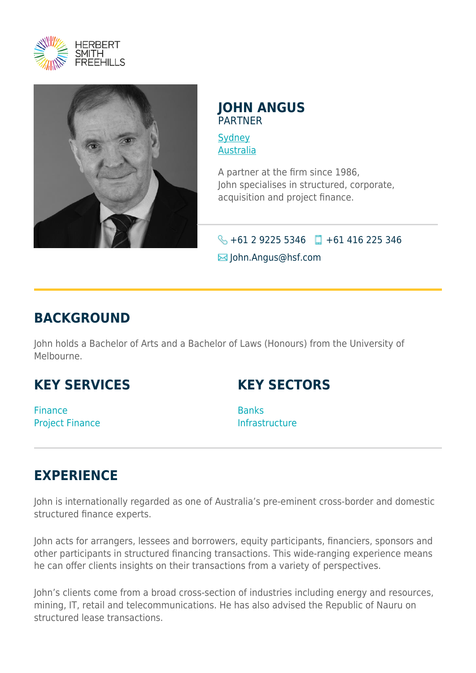



#### **JOHN ANGUS** PARTNER

**[Sydney](https://www.herbertsmithfreehills.com/where-we-work/sydney)** [Australia](https://www.herbertsmithfreehills.com/where-we-work/australia)

A partner at the firm since 1986, John specialises in structured, corporate, acquisition and project finance.

### $\leftarrow$  +61 2 9225 5346 +61 416 225 346  $\boxtimes$  John.Angus@hsf.com

## **BACKGROUND**

John holds a Bachelor of Arts and a Bachelor of Laws (Honours) from the University of Melbourne.

# **KEY SERVICES**

**KEY SECTORS**

Finance Project Finance **Banks** Infrastructure

# **EXPERIENCE**

John is internationally regarded as one of Australia's pre-eminent cross-border and domestic structured finance experts.

John acts for arrangers, lessees and borrowers, equity participants, financiers, sponsors and other participants in structured financing transactions. This wide-ranging experience means he can offer clients insights on their transactions from a variety of perspectives.

John's clients come from a broad cross-section of industries including energy and resources, mining, IT, retail and telecommunications. He has also advised the Republic of Nauru on structured lease transactions.